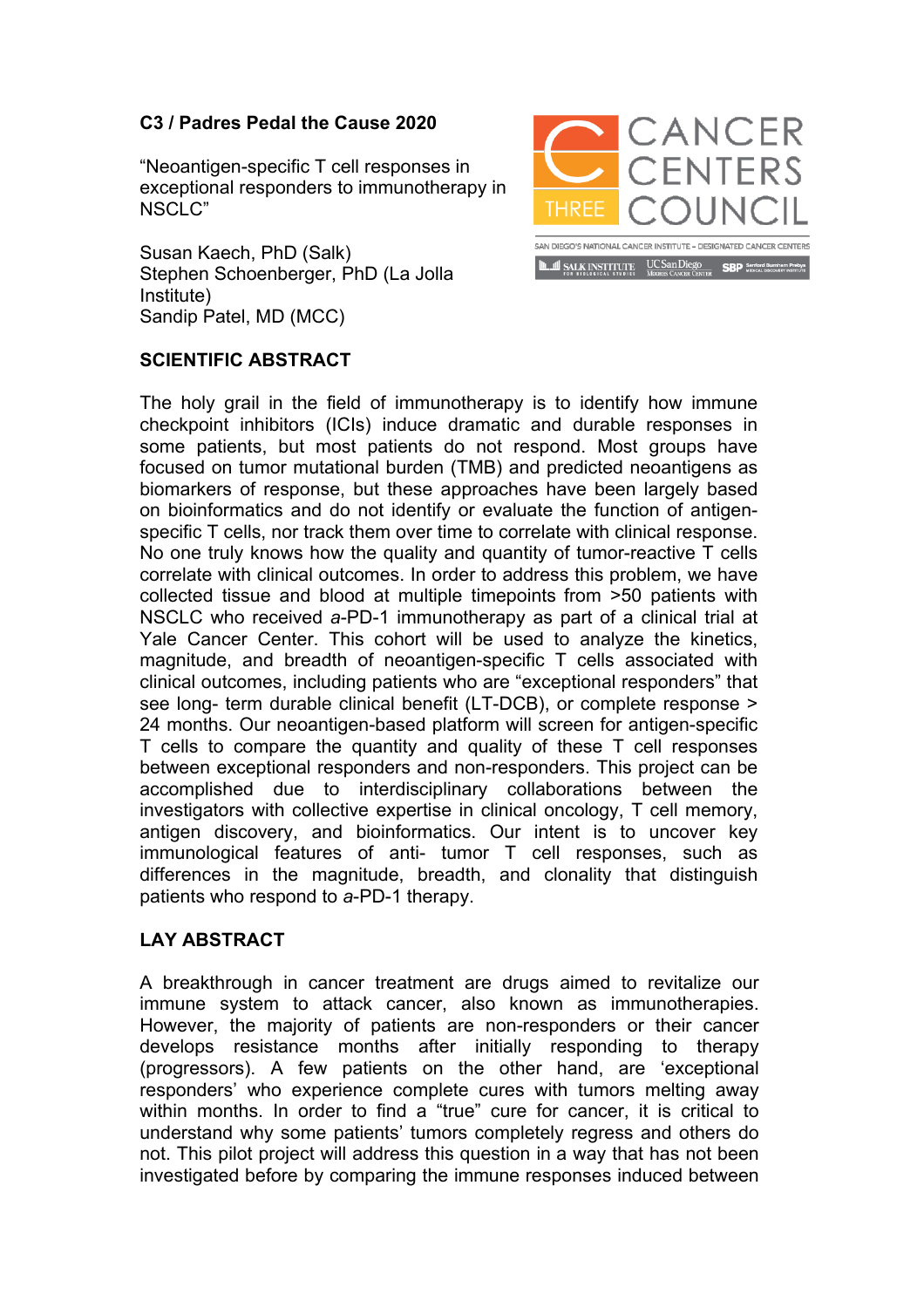## **C3 / Padres Pedal the Cause 2020**

"Neoantigen-specific T cell responses in exceptional responders to immunotherapy in NSCLC"

Susan Kaech, PhD (Salk) Stephen Schoenberger, PhD (La Jolla Institute) Sandip Patel, MD (MCC)



## **SCIENTIFIC ABSTRACT**

The holy grail in the field of immunotherapy is to identify how immune checkpoint inhibitors (ICIs) induce dramatic and durable responses in some patients, but most patients do not respond. Most groups have focused on tumor mutational burden (TMB) and predicted neoantigens as biomarkers of response, but these approaches have been largely based on bioinformatics and do not identify or evaluate the function of antigenspecific T cells, nor track them over time to correlate with clinical response. No one truly knows how the quality and quantity of tumor-reactive T cells correlate with clinical outcomes. In order to address this problem, we have collected tissue and blood at multiple timepoints from >50 patients with NSCLC who received *a*-PD-1 immunotherapy as part of a clinical trial at Yale Cancer Center. This cohort will be used to analyze the kinetics, magnitude, and breadth of neoantigen-specific T cells associated with clinical outcomes, including patients who are "exceptional responders" that see long- term durable clinical benefit (LT-DCB), or complete response > 24 months. Our neoantigen-based platform will screen for antigen-specific T cells to compare the quantity and quality of these T cell responses between exceptional responders and non-responders. This project can be accomplished due to interdisciplinary collaborations between the investigators with collective expertise in clinical oncology, T cell memory, antigen discovery, and bioinformatics. Our intent is to uncover key immunological features of anti- tumor T cell responses, such as differences in the magnitude, breadth, and clonality that distinguish patients who respond to *a*-PD-1 therapy.

## **LAY ABSTRACT**

A breakthrough in cancer treatment are drugs aimed to revitalize our immune system to attack cancer, also known as immunotherapies. However, the majority of patients are non-responders or their cancer develops resistance months after initially responding to therapy (progressors). A few patients on the other hand, are 'exceptional responders' who experience complete cures with tumors melting away within months. In order to find a "true" cure for cancer, it is critical to understand why some patients' tumors completely regress and others do not. This pilot project will address this question in a way that has not been investigated before by comparing the immune responses induced between